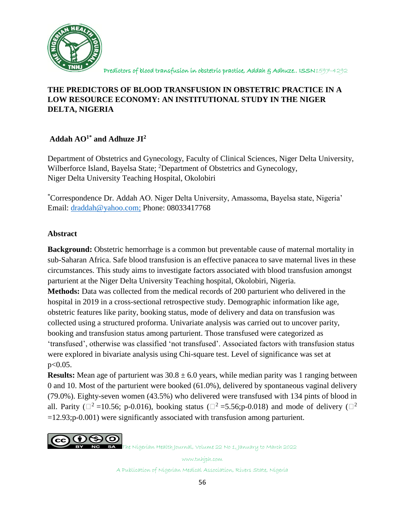

# **THE PREDICTORS OF BLOOD TRANSFUSION IN OBSTETRIC PRACTICE IN A LOW RESOURCE ECONOMY: AN INSTITUTIONAL STUDY IN THE NIGER DELTA, NIGERIA**

# **Addah AO1\* and Adhuze JI<sup>2</sup>**

Department of Obstetrics and Gynecology, Faculty of Clinical Sciences, Niger Delta University, Wilberforce Island, Bayelsa State; <sup>2</sup>Department of Obstetrics and Gynecology, Niger Delta University Teaching Hospital, Okolobiri

\*Correspondence Dr. Addah AO. Niger Delta University, Amassoma, Bayelsa state, Nigeria' Email: [draddah@yahoo.com;](mailto:draddah@yahoo.com) Phone: 08033417768

## **Abstract**

**Background:** Obstetric hemorrhage is a common but preventable cause of maternal mortality in sub-Saharan Africa. Safe blood transfusion is an effective panacea to save maternal lives in these circumstances. This study aims to investigate factors associated with blood transfusion amongst parturient at the Niger Delta University Teaching hospital, Okolobiri, Nigeria.

**Methods:** Data was collected from the medical records of 200 parturient who delivered in the hospital in 2019 in a cross-sectional retrospective study. Demographic information like age, obstetric features like parity, booking status, mode of delivery and data on transfusion was collected using a structured proforma. Univariate analysis was carried out to uncover parity, booking and transfusion status among parturient. Those transfused were categorized as 'transfused', otherwise was classified 'not transfused'. Associated factors with transfusion status were explored in bivariate analysis using Chi-square test. Level of significance was set at p<0.05.

**Results:** Mean age of parturient was  $30.8 \pm 6.0$  years, while median parity was 1 ranging between 0 and 10. Most of the parturient were booked (61.0%), delivered by spontaneous vaginal delivery (79.0%). Eighty-seven women (43.5%) who delivered were transfused with 134 pints of blood in all. Parity ( $\Box^2$  =10.56; p-0.016), booking status ( $\Box^2$  =5.56;p-0.018) and mode of delivery ( $\Box^2$ =12.93;p-0.001) were significantly associated with transfusion among parturient.

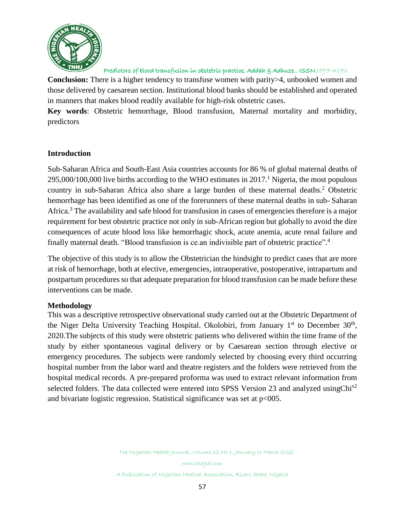

**Conclusion:** There is a higher tendency to transfuse women with parity>4, unbooked women and those delivered by caesarean section. Institutional blood banks should be established and operated in manners that makes blood readily available for high-risk obstetric cases.

**Key words**: Obstetric hemorrhage, Blood transfusion, Maternal mortality and morbidity, predictors

### **Introduction**

Sub-Saharan Africa and South-East Asia countries accounts for 86 % of global maternal deaths of  $295,000/100,000$  live births according to the WHO estimates in  $2017<sup>1</sup>$  Nigeria, the most populous country in sub-Saharan Africa also share a large burden of these maternal deaths. <sup>2</sup> Obstetric hemorrhage has been identified as one of the forerunners of these maternal deaths in sub- Saharan Africa.<sup>3</sup> The availability and safe blood for transfusion in cases of emergencies therefore is a major requirement for best obstetric practice not only in sub-African region but globally to avoid the dire consequences of acute blood loss like hemorrhagic shock, acute anemia, acute renal failure and finally maternal death. "Blood transfusion is ce.an indivisible part of obstetric practice".<sup>4</sup>

The objective of this study is to allow the Obstetrician the hindsight to predict cases that are more at risk of hemorrhage, both at elective, emergencies, intraoperative, postoperative, intrapartum and postpartum procedures so that adequate preparation for blood transfusion can be made before these interventions can be made.

### **Methodology**

This was a descriptive retrospective observational study carried out at the Obstetric Department of the Niger Delta University Teaching Hospital. Okolobiri, from January 1<sup>st</sup> to December 30<sup>th</sup>, 2020.The subjects of this study were obstetric patients who delivered within the time frame of the study by either spontaneous vaginal delivery or by Caesarean section through elective or emergency procedures. The subjects were randomly selected by choosing every third occurring hospital number from the labor ward and theatre registers and the folders were retrieved from the hospital medical records. A pre-prepared proforma was used to extract relevant information from selected folders. The data collected were entered into SPSS Version 23 and analyzed usingChi<sup>x2</sup> and bivariate logistic regression. Statistical significance was set at  $p<005$ .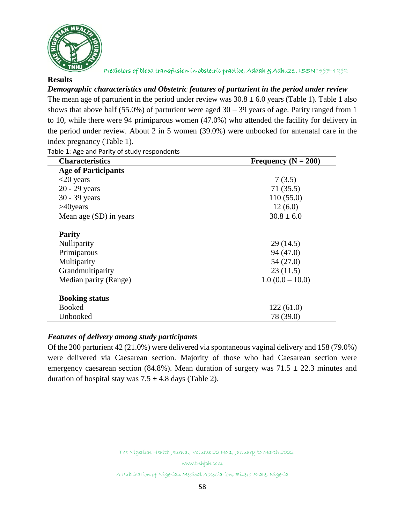

#### **Results**

#### *Demographic characteristics and Obstetric features of parturient in the period under review*

The mean age of parturient in the period under review was  $30.8 \pm 6.0$  years (Table 1). Table 1 also shows that above half (55.0%) of parturient were aged  $30 - 39$  years of age. Parity ranged from 1 to 10, while there were 94 primiparous women (47.0%) who attended the facility for delivery in the period under review. About 2 in 5 women (39.0%) were unbooked for antenatal care in the index pregnancy (Table 1).

**Characteristics Frequency** (N = 200) **Age of Participants**  $\langle 20 \text{ years} \rangle$  7 (3.5) 20 - 29 years 71 (35.5) 30 - 39 years 110 (55.0)  $>40$ years 12 (6.0) Mean age (SD) in years  $30.8 \pm 6.0$ **Parity** Nulliparity 29 (14.5) Primiparous 94 (47.0) Multiparity 54 (27.0) Grandmultiparity 23 (11.5) Median parity (Range)  $1.0 (0.0 - 10.0)$ **Booking status** Booked 122 (61.0) Unbooked 78 (39.0)

Table 1: Age and Parity of study respondents

### *Features of delivery among study participants*

Of the 200 parturient 42 (21.0%) were delivered via spontaneous vaginal delivery and 158 (79.0%) were delivered via Caesarean section. Majority of those who had Caesarean section were emergency caesarean section (84.8%). Mean duration of surgery was  $71.5 \pm 22.3$  minutes and duration of hospital stay was  $7.5 \pm 4.8$  days (Table 2).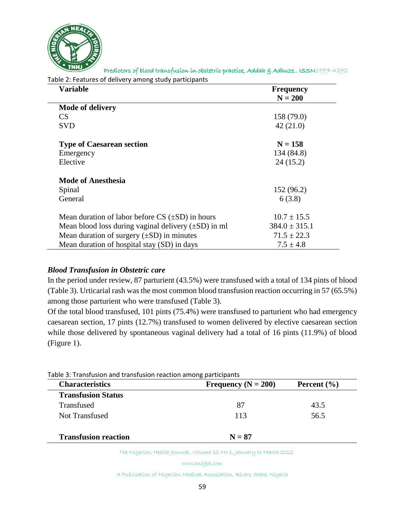

Table 2: Features of delivery among study participants

| Variable                                                 | <b>Frequency</b>  |
|----------------------------------------------------------|-------------------|
|                                                          | $N = 200$         |
| <b>Mode of delivery</b>                                  |                   |
| CS                                                       | 158 (79.0)        |
| <b>SVD</b>                                               | 42(21.0)          |
| <b>Type of Caesarean section</b>                         | $N = 158$         |
| Emergency                                                | 134 (84.8)        |
| Elective                                                 | 24(15.2)          |
| <b>Mode of Anesthesia</b>                                |                   |
| Spinal                                                   | 152(96.2)         |
| General                                                  | 6(3.8)            |
| Mean duration of labor before $CS$ ( $\pm SD$ ) in hours | $10.7 \pm 15.5$   |
| Mean blood loss during vaginal delivery $(\pm SD)$ in ml | $384.0 \pm 315.1$ |
| Mean duration of surgery $(\pm SD)$ in minutes           | $71.5 \pm 22.3$   |
| Mean duration of hospital stay (SD) in days              | $7.5 \pm 4.8$     |

## *Blood Transfusion in Obstetric care*

In the period under review, 87 parturient (43.5%) were transfused with a total of 134 pints of blood (Table 3). Urticarial rash was the most common blood transfusion reaction occurring in 57 (65.5%) among those parturient who were transfused (Table 3).

Of the total blood transfused, 101 pints (75.4%) were transfused to parturient who had emergency caesarean section, 17 pints (12.7%) transfused to women delivered by elective caesarean section while those delivered by spontaneous vaginal delivery had a total of 16 pints (11.9%) of blood (Figure 1).

| <b>Characteristics</b>      | Frequency ( $N = 200$ ) | Percent $(\% )$ |  |
|-----------------------------|-------------------------|-----------------|--|
| <b>Transfusion Status</b>   |                         |                 |  |
| Transfused                  | 87                      | 43.5            |  |
| Not Transfused              | 113                     | 56.5            |  |
| <b>Transfusion reaction</b> | $N = 87$                |                 |  |

The Nigerian Health Journal, Volume 22 No 1, January to March 2022

www.tnhjph.com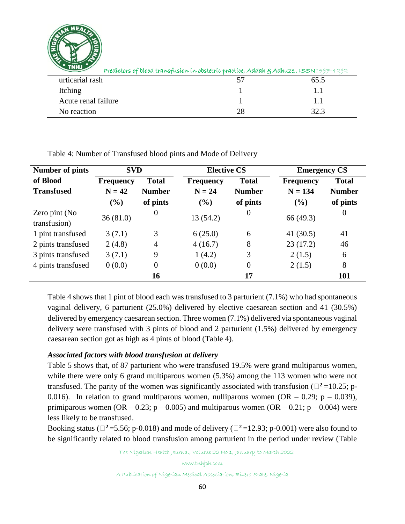

| $\blacksquare$<br>Predíctors of blood transfusion in obstetric practice, Addah & Adhuze ISSN1597-4292 |      |      |
|-------------------------------------------------------------------------------------------------------|------|------|
| urticarial rash                                                                                       | ∕ו ר | 65.5 |
| Itching                                                                                               |      |      |
| Acute renal failure                                                                                   |      | 11   |
| No reaction                                                                                           | 28   | 32.3 |

Table 4: Number of Transfused blood pints and Mode of Delivery

| <b>Number of pints</b> | <b>SVD</b>       |                | <b>Elective CS</b> |                | <b>Emergency CS</b> |               |
|------------------------|------------------|----------------|--------------------|----------------|---------------------|---------------|
| of Blood               | <b>Frequency</b> | <b>Total</b>   | <b>Frequency</b>   | <b>Total</b>   | <b>Frequency</b>    | <b>Total</b>  |
| <b>Transfused</b>      | $N = 42$         | <b>Number</b>  | $N = 24$           | <b>Number</b>  | $N = 134$           | <b>Number</b> |
|                        | (%)              | of pints       | (%)                | of pints       | (%)                 | of pints      |
| Zero pint (No          | 36(81.0)         | $\overline{0}$ | 13(54.2)           | $\theta$       | 66 (49.3)           | $\theta$      |
| transfusion)           |                  |                |                    |                |                     |               |
| 1 pint transfused      | 3(7.1)           | 3              | 6(25.0)            | 6              | 41 $(30.5)$         | 41            |
| 2 pints transfused     | 2(4.8)           | $\overline{4}$ | 4(16.7)            | 8              | 23(17.2)            | 46            |
| 3 pints transfused     | 3(7.1)           | 9              | 1(4.2)             | 3              | 2(1.5)              | 6             |
| 4 pints transfused     | 0(0.0)           | $\theta$       | 0(0.0)             | $\overline{0}$ | 2(1.5)              | 8             |
|                        |                  | 16             |                    | 17             |                     | <b>101</b>    |

Table 4 shows that 1 pint of blood each was transfused to 3 parturient (7.1%) who had spontaneous vaginal delivery, 6 parturient (25.0%) delivered by elective caesarean section and 41 (30.5%) delivered by emergency caesarean section. Three women (7.1%) delivered via spontaneous vaginal delivery were transfused with 3 pints of blood and 2 parturient (1.5%) delivered by emergency caesarean section got as high as 4 pints of blood (Table 4).

### *Associated factors with blood transfusion at delivery*

Table 5 shows that, of 87 parturient who were transfused 19.5% were grand multiparous women, while there were only 6 grand multiparous women  $(5.3%)$  among the 113 women who were not transfused. The parity of the women was significantly associated with transfusion ( $\Box^2$ =10.25; p-0.016). In relation to grand multiparous women, nulliparous women  $(OR - 0.29; p - 0.039)$ , primiparous women (OR – 0.23; p – 0.005) and multiparous women (OR – 0.21; p – 0.004) were less likely to be transfused.

Booking status ( $\Box^2$ =5.56; p-0.018) and mode of delivery ( $\Box^2$ =12.93; p-0.001) were also found to be significantly related to blood transfusion among parturient in the period under review (Table

The Nigerian Health Journal, Volume 22 No 1, January to March 2022

www.tnhjph.com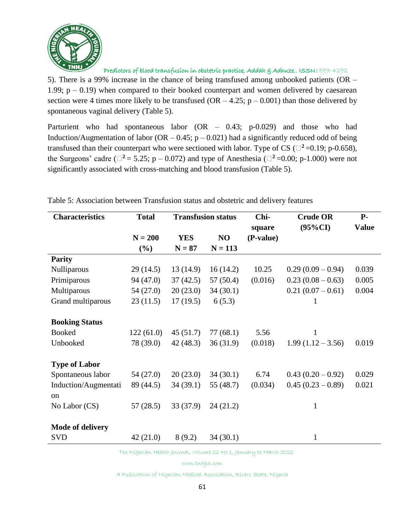

5). There is a 99% increase in the chance of being transfused among unbooked patients (OR – 1.99;  $p - 0.19$ ) when compared to their booked counterpart and women delivered by caesarean section were 4 times more likely to be transfused  $(OR - 4.25; p - 0.001)$  than those delivered by spontaneous vaginal delivery (Table 5).

Parturient who had spontaneous labor (OR – 0.43; p-0.029) and those who had Induction/Augmentation of labor (OR  $-$  0.45; p  $-$  0.021) had a significantly reduced odd of being transfused than their counterpart who were sectioned with labor. Type of CS ( $\Box^2$ =0.19; p-0.658), the Surgeons' cadre ( $\Box^2$  = 5.25; p – 0.072) and type of Anesthesia ( $\Box^2$  =0.00; p-1.000) were not significantly associated with cross-matching and blood transfusion (Table 5).

| <b>Characteristics</b>  | <b>Total</b> | <b>Transfusion status</b> |           | Chi-      | <b>Crude OR</b>     | $P-$         |
|-------------------------|--------------|---------------------------|-----------|-----------|---------------------|--------------|
|                         |              |                           |           | square    | $(95\%CI)$          | <b>Value</b> |
|                         | $N = 200$    | <b>YES</b>                | NO        | (P-value) |                     |              |
|                         | $(\%)$       | $N = 87$                  | $N = 113$ |           |                     |              |
| <b>Parity</b>           |              |                           |           |           |                     |              |
| Nulliparous             | 29(14.5)     | 13(14.9)                  | 16(14.2)  | 10.25     | $0.29(0.09-0.94)$   | 0.039        |
| Primiparous             | 94 (47.0)    | 37(42.5)                  | 57(50.4)  | (0.016)   | $0.23(0.08-0.63)$   | 0.005        |
| Multiparous             | 54 (27.0)    | 20(23.0)                  | 34(30.1)  |           | $0.21(0.07-0.61)$   | 0.004        |
| Grand multiparous       | 23(11.5)     | 17(19.5)                  | 6(5.3)    |           | 1                   |              |
|                         |              |                           |           |           |                     |              |
| <b>Booking Status</b>   |              |                           |           |           |                     |              |
| <b>Booked</b>           | 122(61.0)    | 45(51.7)                  | 77(68.1)  | 5.56      | 1                   |              |
| Unbooked                | 78 (39.0)    | 42(48.3)                  | 36(31.9)  | (0.018)   | $1.99(1.12 - 3.56)$ | 0.019        |
|                         |              |                           |           |           |                     |              |
| <b>Type of Labor</b>    |              |                           |           |           |                     |              |
| Spontaneous labor       | 54 (27.0)    | 20(23.0)                  | 34(30.1)  | 6.74      | $0.43(0.20-0.92)$   | 0.029        |
| Induction/Augmentati    | 89 (44.5)    | 34(39.1)                  | 55 (48.7) | (0.034)   | $0.45(0.23-0.89)$   | 0.021        |
| <sub>on</sub>           |              |                           |           |           |                     |              |
| No Labor (CS)           | 57(28.5)     | 33 (37.9)                 | 24(21.2)  |           | $\mathbf{1}$        |              |
|                         |              |                           |           |           |                     |              |
| <b>Mode of delivery</b> |              |                           |           |           |                     |              |
| <b>SVD</b>              | 42(21.0)     | 8(9.2)                    | 34(30.1)  |           | $\mathbf{1}$        |              |
|                         |              |                           |           |           |                     |              |

Table 5: Association between Transfusion status and obstetric and delivery features

The Nigerian Health Journal, Volume 22 No 1, January to March 2022

www.tnhjph.com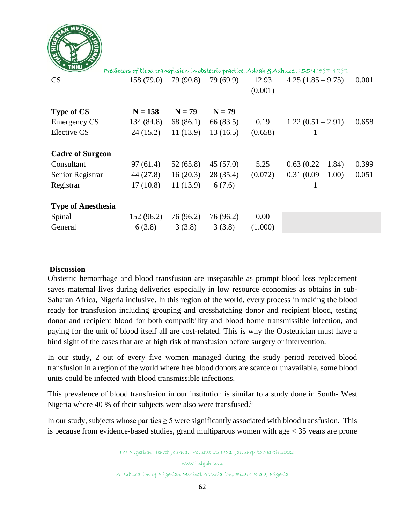

| Predíctors of blood transfusion in obstetric practice, Addah & Adhuze ISSN1597-4292 |            |           |           |         |                     |       |
|-------------------------------------------------------------------------------------|------------|-----------|-----------|---------|---------------------|-------|
| CS                                                                                  | 158(79.0)  | 79 (90.8) | 79 (69.9) | 12.93   | $4.25(1.85-9.75)$   | 0.001 |
|                                                                                     |            |           |           | (0.001) |                     |       |
|                                                                                     |            |           |           |         |                     |       |
| <b>Type of CS</b>                                                                   | $N = 158$  | $N = 79$  | $N = 79$  |         |                     |       |
| <b>Emergency CS</b>                                                                 | 134 (84.8) | 68 (86.1) | 66 (83.5) | 0.19    | $1.22(0.51 - 2.91)$ | 0.658 |
| Elective CS                                                                         | 24(15.2)   | 11(13.9)  | 13(16.5)  | (0.658) | 1                   |       |
|                                                                                     |            |           |           |         |                     |       |
| <b>Cadre of Surgeon</b>                                                             |            |           |           |         |                     |       |
| Consultant                                                                          | 97(61.4)   | 52(65.8)  | 45(57.0)  | 5.25    | $0.63(0.22 - 1.84)$ | 0.399 |
| Senior Registrar                                                                    | 44 (27.8)  | 16(20.3)  | 28(35.4)  | (0.072) | $0.31(0.09 - 1.00)$ | 0.051 |
| Registrar                                                                           | 17(10.8)   | 11(13.9)  | 6(7.6)    |         | 1                   |       |
|                                                                                     |            |           |           |         |                     |       |
| <b>Type of Anesthesia</b>                                                           |            |           |           |         |                     |       |
| Spinal                                                                              | 152 (96.2) | 76 (96.2) | 76 (96.2) | 0.00    |                     |       |
| General                                                                             | 6(3.8)     | 3(3.8)    | 3(3.8)    | (1.000) |                     |       |

### **Discussion**

Obstetric hemorrhage and blood transfusion are inseparable as prompt blood loss replacement saves maternal lives during deliveries especially in low resource economies as obtains in sub-Saharan Africa, Nigeria inclusive. In this region of the world, every process in making the blood ready for transfusion including grouping and crosshatching donor and recipient blood, testing donor and recipient blood for both compatibility and blood borne transmissible infection, and paying for the unit of blood itself all are cost-related. This is why the Obstetrician must have a hind sight of the cases that are at high risk of transfusion before surgery or intervention.

In our study, 2 out of every five women managed during the study period received blood transfusion in a region of the world where free blood donors are scarce or unavailable, some blood units could be infected with blood transmissible infections.

This prevalence of blood transfusion in our institution is similar to a study done in South- West Nigeria where 40 % of their subjects were also were transfused.<sup>5</sup>

In our study, subjects whose parities  $\geq 5$  were significantly associated with blood transfusion. This is because from evidence-based studies, grand multiparous women with age < 35 years are prone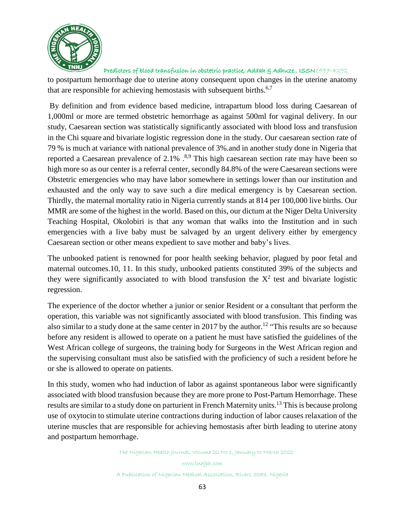

to postpartum hemorrhage due to uterine atony consequent upon changes in the uterine anatomy that are responsible for achieving hemostasis with subsequent births.<sup>6,7</sup>

By definition and from evidence based medicine, intrapartum blood loss during Caesarean of 1,000ml or more are termed obstetric hemorrhage as against 500ml for vaginal delivery. In our study, Caesarean section was statistically significantly associated with blood loss and transfusion in the Chi square and bivariate logistic regression done in the study. Our caesarean section rate of 79 % is much at variance with national prevalence of 3%.and in another study done in Nigeria that reported a Caesarean prevalence of  $2.1\%$   $.^{8,9}$  This high caesarean section rate may have been so high more so as our center is a referral center, secondly 84.8% of the were Caesarean sections were Obstetric emergencies who may have labor somewhere in settings lower than our institution and exhausted and the only way to save such a dire medical emergency is by Caesarean section. Thirdly, the maternal mortality ratio in Nigeria currently stands at 814 per 100,000 live births. Our MMR are some of the highest in the world. Based on this, our dictum at the Niger Delta University Teaching Hospital, Okolobiri is that any woman that walks into the Institution and in such emergencies with a live baby must be salvaged by an urgent delivery either by emergency Caesarean section or other means expedient to save mother and baby's lives.

The unbooked patient is renowned for poor health seeking behavior, plagued by poor fetal and maternal outcomes.10, 11. In this study, unbooked patients constituted 39% of the subjects and they were significantly associated to with blood transfusion the  $X^2$  test and bivariate logistic regression.

The experience of the doctor whether a junior or senior Resident or a consultant that perform the operation, this variable was not significantly associated with blood transfusion. This finding was also similar to a study done at the same center in 2017 by the author.<sup>12</sup> "This results are so because before any resident is allowed to operate on a patient he must have satisfied the guidelines of the West African college of surgeons, the training body for Surgeons in the West African region and the supervising consultant must also be satisfied with the proficiency of such a resident before he or she is allowed to operate on patients.

In this study, women who had induction of labor as against spontaneous labor were significantly associated with blood transfusion because they are more prone to Post-Partum Hemorrhage. These results are similar to a study done on parturient in French Maternity units. <sup>13</sup> This is because prolong use of oxytocin to stimulate uterine contractions during induction of labor causes relaxation of the uterine muscles that are responsible for achieving hemostasis after birth leading to uterine atony and postpartum hemorrhage.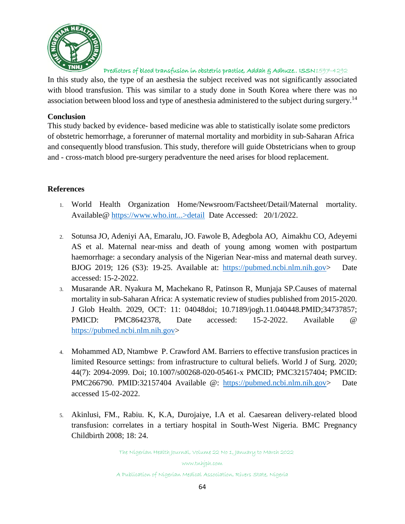

In this study also, the type of an aesthesia the subject received was not significantly associated with blood transfusion. This was similar to a study done in South Korea where there was no association between blood loss and type of anesthesia administered to the subject during surgery.<sup>14</sup>

#### **Conclusion**

This study backed by evidence- based medicine was able to statistically isolate some predictors of obstetric hemorrhage, a forerunner of maternal mortality and morbidity in sub-Saharan Africa and consequently blood transfusion. This study, therefore will guide Obstetricians when to group and - cross-match blood pre-surgery peradventure the need arises for blood replacement.

### **References**

- 1. World Health Organization Home/Newsroom/Factsheet/Detail/Maternal mortality. Available@ https://www.who.int...>detail Date Accessed: 20/1/2022.
- 2. Sotunsa JO, Adeniyi AA, Emaralu, JO. Fawole B, Adegbola AO, Aimakhu CO, Adeyemi AS et al. Maternal near-miss and death of young among women with postpartum haemorrhage: a secondary analysis of the Nigerian Near-miss and maternal death survey. BJOG 2019; 126 (S3): 19-25. Available at: [https://pubmed.ncbi.nlm.nih.gov>](https://pubmed.ncbi.nlm.nih.gov/) Date accessed: 15-2-2022.
- 3. Musarande AR. Nyakura M, Machekano R, Patinson R, Munjaja SP.Causes of maternal mortality in sub-Saharan Africa: A systematic review of studies published from 2015-2020. J Glob Health. 2029, OCT: 11: 04048doi; 10.7189/jogh.11.040448.PMID;34737857; PMICD: PMC8642378, Date accessed: 15-2-2022. Available @ [https://pubmed.ncbi.nlm.nih.gov>](https://pubmed.ncbi.nlm.nih.gov/)
- 4. Mohammed AD, Ntambwe P. Crawford AM. Barriers to effective transfusion practices in limited Resource settings: from infrastructure to cultural beliefs. World J of Surg. 2020; 44(7): 2094-2099. Doi; 10.1007/s00268-020-05461-x PMCID; PMC32157404; PMCID: PMC266790. PMID:32157404 Available @: [https://pubmed.ncbi.nlm.nih.gov>](https://pubmed.ncbi.nlm.nih.gov/) Date accessed 15-02-2022.
- 5. Akinlusi, FM., Rabiu. K, K.A, Durojaiye, I.A et al. Caesarean delivery-related blood transfusion: correlates in a tertiary hospital in South-West Nigeria. BMC Pregnancy Childbirth 2008; 18: 24.

The Nigerian Health Journal, Volume 22 No 1, January to March 2022 www.tnhjph.com